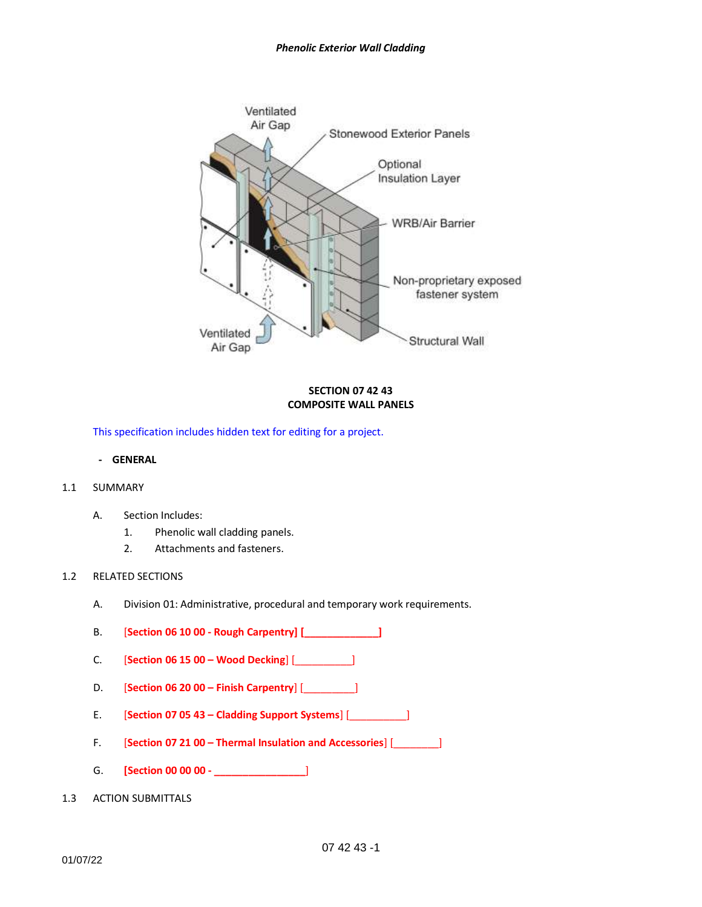

# **SECTION 07 42 43 COMPOSITE WALL PANELS**

This specification includes hidden text for editing for a project.

**- GENERAL**

### 1.1 SUMMARY

- A. Section Includes:
	- 1. Phenolic wall cladding panels.
	- 2. Attachments and fasteners.

# 1.2 RELATED SECTIONS

- A. Division 01: Administrative, procedural and temporary work requirements.
- B. [**Section 06 10 00 - Rough Carpentry] [\_\_\_\_\_\_\_\_\_\_\_\_\_]**
- C. [**Section 06 15 00 – Wood Decking**] [\_\_\_\_\_\_\_\_\_\_]
- D. [**Section 06 20 00 – Finish Carpentry**] [\_\_\_\_\_\_\_\_\_]
- E. [**Section 07 05 43 – Cladding Support Systems**] [\_\_\_\_\_\_\_\_\_\_]
- F. [**Section 07 21 00 – Thermal Insulation and Accessories**] [\_\_\_\_\_\_\_\_]
- G. **[Section 00 00 00 - \_\_\_\_\_\_\_\_\_\_\_\_\_\_\_\_**]
- 1.3 ACTION SUBMITTALS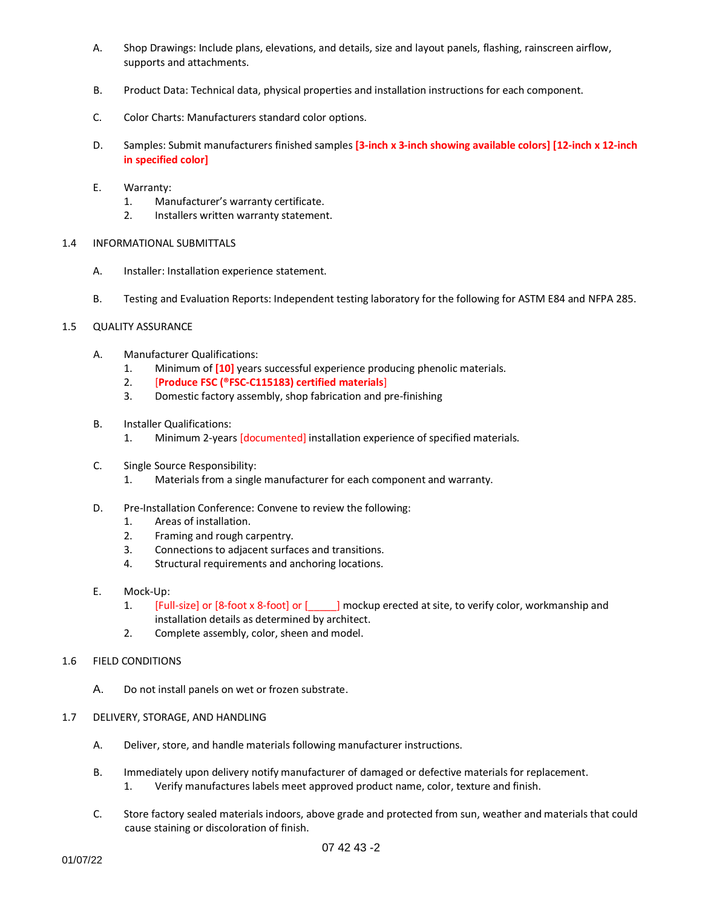- A. Shop Drawings: Include plans, elevations, and details, size and layout panels, flashing, rainscreen airflow, supports and attachments.
- B. Product Data: Technical data, physical properties and installation instructions for each component.
- C. Color Charts: Manufacturers standard color options.
- D. Samples: Submit manufacturers finished samples **[3-inch x 3-inch showing available colors] [12-inch x 12-inch in specified color]**
- E. Warranty:
	- 1. Manufacturer's warranty certificate.
	- 2. Installers written warranty statement.
- 1.4 INFORMATIONAL SUBMITTALS
	- A. Installer: Installation experience statement.
	- B. Testing and Evaluation Reports: Independent testing laboratory for the following for ASTM E84 and NFPA 285.

# 1.5 QUALITY ASSURANCE

- A. Manufacturer Qualifications:
	- 1. Minimum of **[10]** years successful experience producing phenolic materials.
	- 2. [**Produce FSC (®FSC-C115183) certified materials**]
	- 3. Domestic factory assembly, shop fabrication and pre-finishing
- B. Installer Qualifications:
	- 1. Minimum 2-years [documented] installation experience of specified materials.
- C. Single Source Responsibility:
	- 1. Materials from a single manufacturer for each component and warranty.
- D. Pre-Installation Conference: Convene to review the following:
	- 1. Areas of installation.
	- 2. Framing and rough carpentry.
	- 3. Connections to adjacent surfaces and transitions.
	- 4. Structural requirements and anchoring locations.
- E. Mock-Up:
	- 1. [Full-size] or [8-foot x 8-foot] or [ ] mockup erected at site, to verify color, workmanship and installation details as determined by architect.
	- 2. Complete assembly, color, sheen and model.
- 1.6 FIELD CONDITIONS
	- A. Do not install panels on wet or frozen substrate.
- 1.7 DELIVERY, STORAGE, AND HANDLING
	- A. Deliver, store, and handle materials following manufacturer instructions.
	- B. Immediately upon delivery notify manufacturer of damaged or defective materials for replacement. 1. Verify manufactures labels meet approved product name, color, texture and finish.
	- C. Store factory sealed materials indoors, above grade and protected from sun, weather and materials that could cause staining or discoloration of finish.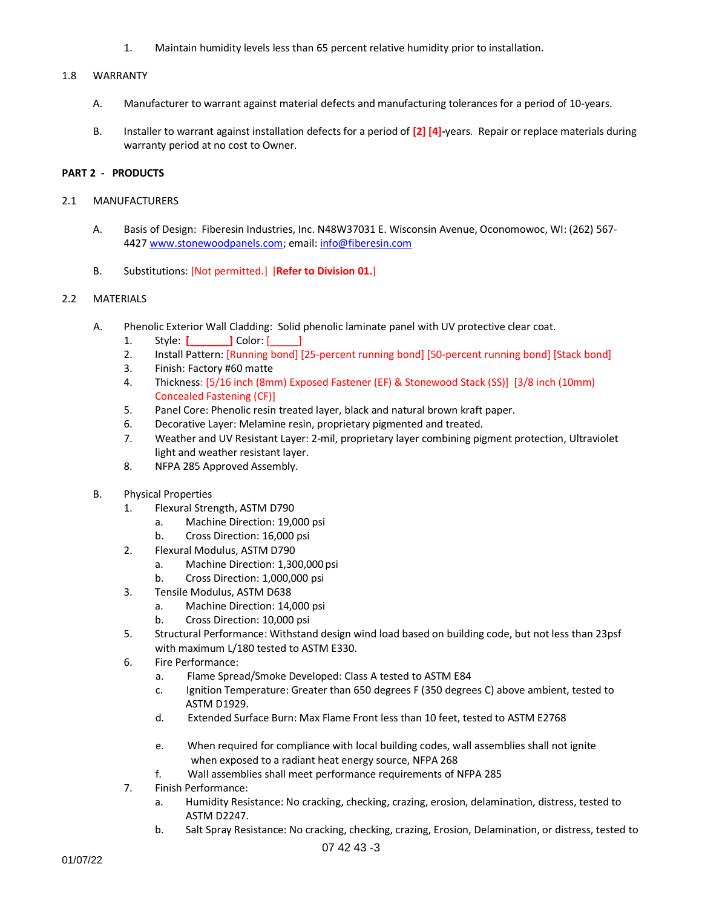1. Maintain humidity levels less than 65 percent relative humidity prior to installation.

### 1.8 WARRANTY

- A. Manufacturer to warrant against material defects and manufacturing tolerances for a period of 10-years.
- B. Installer to warrant against installation defects for a period of **[2] [4]-**years. Repair or replace materials during warranty period at no cost to Owner.

### **PART 2 - PRODUCTS**

#### 2.1 MANUFACTURERS

- A. Basis of Design: Fiberesin Industries, Inc. N48W37031 E. Wisconsin Avenue, Oconomowoc, WI: (262) 567- 4427 [www.stonewoodpanels.com;](http://www.stonewoodpanels.com/) email[: info@fiberesin.com](mailto:info@fiberesin.com)
- B. Substitutions: [Not permitted.] [**Refer to Division 01.**]

#### 2.2 MATERIALS

- A. Phenolic Exterior Wall Cladding: Solid phenolic laminate panel with UV protective clear coat.
	- 1. Style: **[** ] Color: [
	- 2. Install Pattern: [Running bond] [25-percent running bond] [50-percent running bond] [Stack bond]
	- 3. Finish: Factory #60 matte
	- 4. Thickness: [5/16 inch (8mm) Exposed Fastener (EF) & Stonewood Stack (SS)] [3/8 inch (10mm) Concealed Fastening (CF)]
	- 5. Panel Core: Phenolic resin treated layer, black and natural brown kraft paper.
	- 6. Decorative Layer: Melamine resin, proprietary pigmented and treated.
	- 7. Weather and UV Resistant Layer: 2-mil, proprietary layer combining pigment protection, Ultraviolet light and weather resistant layer.
	- 8. NFPA 285 Approved Assembly.
- B. Physical Properties
	- 1. Flexural Strength, ASTM D790
		- a. Machine Direction: 19,000 psi
		- b. Cross Direction: 16,000 psi
	- 2. Flexural Modulus, ASTM D790
		- a. Machine Direction: 1,300,000 psi
			- b. Cross Direction: 1,000,000 psi
	- 3. Tensile Modulus, ASTM D638
		- a. Machine Direction: 14,000 psi
		- b. Cross Direction: 10,000 psi
	- 5. Structural Performance: Withstand design wind load based on building code, but not less than 23psf with maximum L/180 tested to ASTM E330.
	- 6. Fire Performance:
		- a. Flame Spread/Smoke Developed: Class A tested to ASTM E84
		- c. Ignition Temperature: Greater than 650 degrees F (350 degrees C) above ambient, tested to ASTM D1929.
		- d. Extended Surface Burn: Max Flame Front less than 10 feet, tested to ASTM E2768
		- e. When required for compliance with local building codes, wall assemblies shall not ignite when exposed to a radiant heat energy source, NFPA 268
		- f. Wall assemblies shall meet performance requirements of NFPA 285
	- 7. Finish Performance:
		- a. Humidity Resistance: No cracking, checking, crazing, erosion, delamination, distress, tested to ASTM D2247.
		- b. Salt Spray Resistance: No cracking, checking, crazing, Erosion, Delamination, or distress, tested to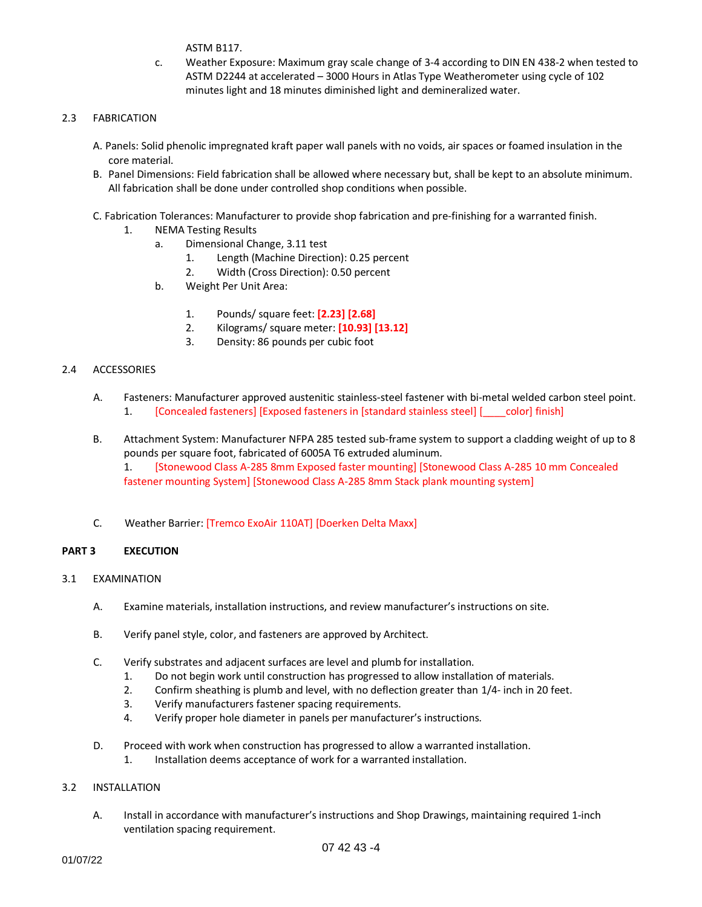ASTM B117.

c. Weather Exposure: Maximum gray scale change of 3-4 according to DIN EN 438-2 when tested to ASTM D2244 at accelerated – 3000 Hours in Atlas Type Weatherometer using cycle of 102 minutes light and 18 minutes diminished light and demineralized water.

## 2.3 FABRICATION

- A. Panels: Solid phenolic impregnated kraft paper wall panels with no voids, air spaces or foamed insulation in the core material.
- B. Panel Dimensions: Field fabrication shall be allowed where necessary but, shall be kept to an absolute minimum. All fabrication shall be done under controlled shop conditions when possible.
- C. Fabrication Tolerances: Manufacturer to provide shop fabrication and pre-finishing for a warranted finish.
	- 1. NEMA Testing Results
		- a. Dimensional Change, 3.11 test
			- 1. Length (Machine Direction): 0.25 percent
			- 2. Width (Cross Direction): 0.50 percent
		- b. Weight Per Unit Area:
			- 1. Pounds/ square feet: **[2.23] [2.68]**
			- 2. Kilograms/ square meter: **[10.93] [13.12]**
			- 3. Density: 86 pounds per cubic foot

## 2.4 ACCESSORIES

- A. Fasteners: Manufacturer approved austenitic stainless-steel fastener with bi-metal welded carbon steel point. 1. **[Concealed fasteners] [Exposed fasteners in [standard stainless steel]** [ \_\_\_ color] finish]
- B. Attachment System: Manufacturer NFPA 285 tested sub-frame system to support a cladding weight of up to 8 pounds per square foot, fabricated of 6005A T6 extruded aluminum.

1. [Stonewood Class A-285 8mm Exposed faster mounting] [Stonewood Class A-285 10 mm Concealed fastener mounting System] [Stonewood Class A-285 8mm Stack plank mounting system]

C. Weather Barrier: [Tremco ExoAir 110AT] [Doerken Delta Maxx]

### **PART 3 EXECUTION**

- 3.1 EXAMINATION
	- A. Examine materials, installation instructions, and review manufacturer's instructions on site.
	- B. Verify panel style, color, and fasteners are approved by Architect.
	- C. Verify substrates and adjacent surfaces are level and plumb for installation.
		- 1. Do not begin work until construction has progressed to allow installation of materials.
		- 2. Confirm sheathing is plumb and level, with no deflection greater than 1/4- inch in 20 feet.
		- 3. Verify manufacturers fastener spacing requirements.
		- 4. Verify proper hole diameter in panels per manufacturer's instructions.
	- D. Proceed with work when construction has progressed to allow a warranted installation.
		- 1. Installation deems acceptance of work for a warranted installation.

### 3.2 INSTALLATION

A. Install in accordance with manufacturer's instructions and Shop Drawings, maintaining required 1-inch ventilation spacing requirement.